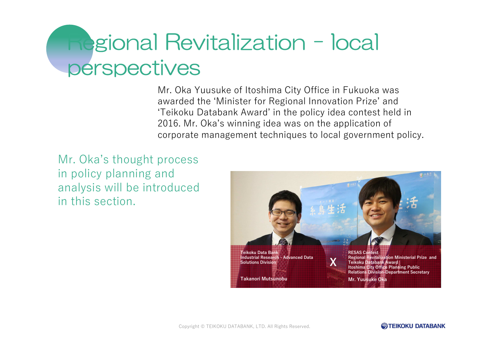# Regional Revitalization - local<br>perspectives

Mr. Oka Yuusuke of Itoshima City Office in Fukuoka was awarded the 'Minister for Regional Innovation Prize' and 'Teikoku Databank Award' in the policy idea contest held in 2016. Mr. Oka's winning idea was on the application of corporate management techniques to local government policy.

Mr. Oka's thought process in policy planning and analysis will be introduced in this section.



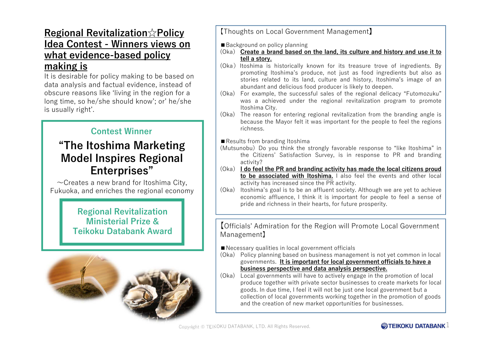## Regional Revitalization☆Policy Idea Contest - Winners views on what evidence-based policy making is

 It is desirable for policy making to be based on data analysis and factual evidence, instead of obscure reasons like 'living in the region for a long time, so he/she should know'; or' he/she is usually right'.

### Contest Winner

# "The Itoshima Marketing Model Inspires Regional Enterprises"

 $\sim$ Creates a new brand for Itoshima City, Fukuoka, and enriches the regional economy

> Regional RevitalizationMinisterial Prize &Teikoku Databank Award



### 【Thoughts on Local Government Management】

■Background on policy planning

- (Oka) characte a brand based on the land, its culture and history and use it to the la story tell <sup>a</sup> story.
- (Oka) Itoshima is historically known for its treasure trove of ingredients. By promoting Itoshima's produce, not just as food ingredients but also as stories related to its land, culture and history, Itoshima's image of an<br>abundant and delicious food producer is likely to deenen abundant and delicious food producer is likely to deepen.<br>For example, the successful sales of the regional delic
- (Oka) For example, the successful sales of the regional delicacy "Futomozuku" was a achieved under the regional revitalization program to promote<br>Itoshima.City Itoshima City.<br>The reason f
- (Oka) The reason for entering regional revitalization from the branding angle is because the Mayor felt it was important for the people to feel the regions<br>richness richness.

■ Results from branding Itoshima

- (Mutsunobu)Do you think the strongly favorable response to "like Itoshima" in the Citizens' Satisfaction Survey, is in response to PR and branding<br>activity? activity?
- (Oka) <mark>I do fee</mark> I do feel the PR and branding activity has made the local citizens proud<br>to be associated with Itoshima Lalso feel the events and other local **<u>to be associated with Itoshima.</u> I** also feel the events and other local<br>activity has increased since the PR activity activity has increased since the PR activity.
- (Oka) Itoshima's goal is to be an affluent society. Although we are yet to achieve economic affluence, I think it is important for people to feel a sense of<br>pride and richness in their hearts for future prosperity pride and richness in their hearts, for future prosperity.

【Officials' Admiration for the Region will Promote Local Government Management】

■Necessary qualities in local government officials

- (Oka) Policy planning based on business management is not yet common in local governments. It is important for local government officials to have a business perspective and data analysis perspective.
- (Oka) Local governments will have to actively engage in the promotion of local produce together with private sector businesses to create markets for local goods. In due time, I feel it will not be just one local government but a collection of local governments working together in the promotion of goods and the creation of new market opportunities for businesses.

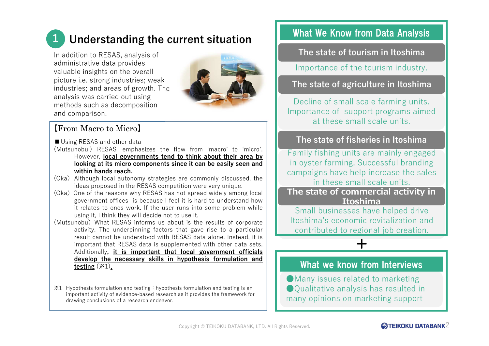# Understanding the current situation

In addition to RESAS, analysis of administrative data provides valuable insights on the overall picture i.e. strong industries; weak<br>industries: and areas of growth. The industries; and areas of growth. The analysis was carried out using methods such as decomposition and comparison.



### 【From Macro to Micro】

1

- Using RESAS and other data
- (Mutsunobu ) RESAS emphasizes the flow from 'macro' to 'micro'. However, <mark>local governments tend to think about their area by</mark> looking at its micro components since it can be easily seen andwithin hands reach.
- (Oka) Although local autonomy strategies are commonly discussed, the ideas proposed in the RESAS competition were very unique.<br>One of the reasons why RESAS has not spread widely amor
- (Oka) One of the reasons why RESAS has not spread widely among local government offices is because I feel it is hard to understand how government offices is because I feel it is hard to understand how<br>it relates to ones work. If the user runs into some problem while<br>using it I think they will decide not to use it using it, <sup>I</sup> think they will decide not to use it.
- (Mutsunobu) What RESAS informs us about is the results of corporate activity. The underpinning factors that gave rise to <sup>a</sup> particular result cannot be understood with RESAS data alone. Instead, it is important that RESAS data is supplemented with other data sets. Additionally, it is important that local government officials develop the necessary skills in hypothesis formulation and<u>testing</u> (※1)<u>.</u>
- $\angle 1$  Hypothesis formulation and testing: hypothesis formulation and testing is an important activity of evidence-based research as it provides the framework for drawing conclusions of a research endeavor.

# What We Know from Data Analysis

The state of tourism in Itoshima

Importance of the tourism industry.

### The state of agriculture in Itoshima

Decline of small scale farming units. Importance of support programs aimed at these small scale units.

### The state of fisheries in Itoshima

Family fishing units are mainly engaged in oyster farming. Successful branding campaigns have help increase the sales in these small scale units.**The state of commercial activity in** 

**Itoshima**

Small businesses have helped drive Itoshima's economic revitalization and contributed to regional job creation.

+

### What we know from Interviews

●Many issues related to marketing ●Qualitative analysis has resulted in many opinions on marketing support

### $\mathbf{\widetilde{\approx}}$ teikoku databank $2$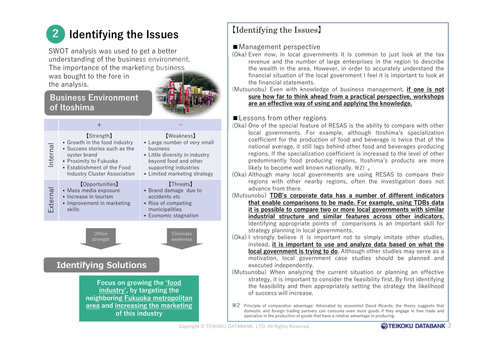### 2Identifying the Issues

SWOT analysis was used to get a better understanding of the business environment. The importance of the marketing business was bought to the fore inthe analysis.

### Business Environment of Itoshima

|                                                                                                                                                                     | $^+$                                                                                                                                                                                                |                                                                                                                                                                                   |
|---------------------------------------------------------------------------------------------------------------------------------------------------------------------|-----------------------------------------------------------------------------------------------------------------------------------------------------------------------------------------------------|-----------------------------------------------------------------------------------------------------------------------------------------------------------------------------------|
| nterna                                                                                                                                                              | <b>【Strength】</b><br>• Growth in the food industry<br>• Success stories such as the<br>oyster brand<br>• Proximity to Fukuoka<br>• Establishment of the Food<br><b>Industry Cluster Association</b> | <b>[Weakness]</b><br>• Large number of very small<br>business<br>• Little diversity in industry<br>beyond food and other<br>supporting industries<br>• Limited marketing strategy |
| Externa                                                                                                                                                             | <b>[Opportunities]</b><br>• Mass media exposure<br>• Increase in tourism<br>• Improvement in marketing<br>skills                                                                                    | <b>[Threats]</b><br>• Brand damage due to<br>accidents etc<br>• Rise of competing<br>municipalities<br>Economic stagnation                                                        |
| Utilize<br>Eliminate<br>weakness<br>strength<br><b>Identifying Solutions</b>                                                                                        |                                                                                                                                                                                                     |                                                                                                                                                                                   |
| Focus on growing the <i>food</i><br>industry', by targeting the<br>neighboring <b>Fukuoka metropolitan</b><br>area and increasing the marketing<br>of this industry |                                                                                                                                                                                                     |                                                                                                                                                                                   |

### 【Identifying the Issues】

### ■Management perspective

- (Oka) Even now, in local governments it is common to just look at the tax revenue and the number of large enterprises in the region to describe<br>the wealth in the area. However, in order to accurately understand the the wealth in the area. However, in order to accurately understand the<br>financial situation of the local government I feel it is important to look at financial situation of the local government I feel it is important to look at<br>the financial statements the financial statements financial statements.<br>bu) Even with know
- (Mutsunobu) Even with knowledge of business management, <u>if one is not</u><br>sure how far to think ahead from a practical perspective workshops sure how far to think ahead from <sup>a</sup> practical perspective, workshopsare an effective way of using and applying the knowledge.

# ■Lessons from other regions<br>(Oka) One of the special feature of

- (Oka) One of the special feature of RESAS is the ability to compare with other local governments. For example, although Itoshima's specialization coefficient for the production of food and beverage is twice that of the<br>national average it still lags behind other food and beverages producing national average, it still lags behind other food and beverages producing<br>regions. If the specialization coefficient is increased to the level of other regions. If the specialization coefficient is increased to the level of other predominantly food producing regions, Itoshima's products are more likely to become well known nationally. ※2)。
- (Oka) Although many local governments are using RESAS to compare their regions with other nearby regions, often the investigation does not advance from there.<br>unobu) **TDB's corn**
- (Mutsunobu) <mark>TDB's corporate data has a number of different indicators</mark> that enable comparisons to be made. For example, using TDBs data it is possible to compare two or more local governments with similar industrial structure and similar features across other indicators. Identifying appropriate points of comparisons is an important skill for strategy planning in local governments.
- (Oka) <sup>I</sup> strongly believe it is important not to simply imitate other studies, instead, <mark>it is important to use and analyze data based on what the</mark> l<mark>ocal government is trying to do</mark>. Although other studies may serve as a<br>motivation, local, government, case, studies, should, he, planned, and motivation, local government case studies should be planned and executed independently.<br>unobu). When analyzing
- (Mutsunobu) When analyzing the current situation or planning an effective strategy, it is important to consider the feasibility first. By first identifying the feasibility and then appropriately setting the strategy the likelihood<br>of success will increase of success will increase.
- ※2 Principle of comparative advantage: Advocated by economist David Ricardo, the theory suggests that domestic and foreign trading partners can consume even more goods if they engage in free trade and<br>specialize in the production of goods that have a relative advantage in producing specialize in the production of goods that have <sup>a</sup> relative advantage in producing.